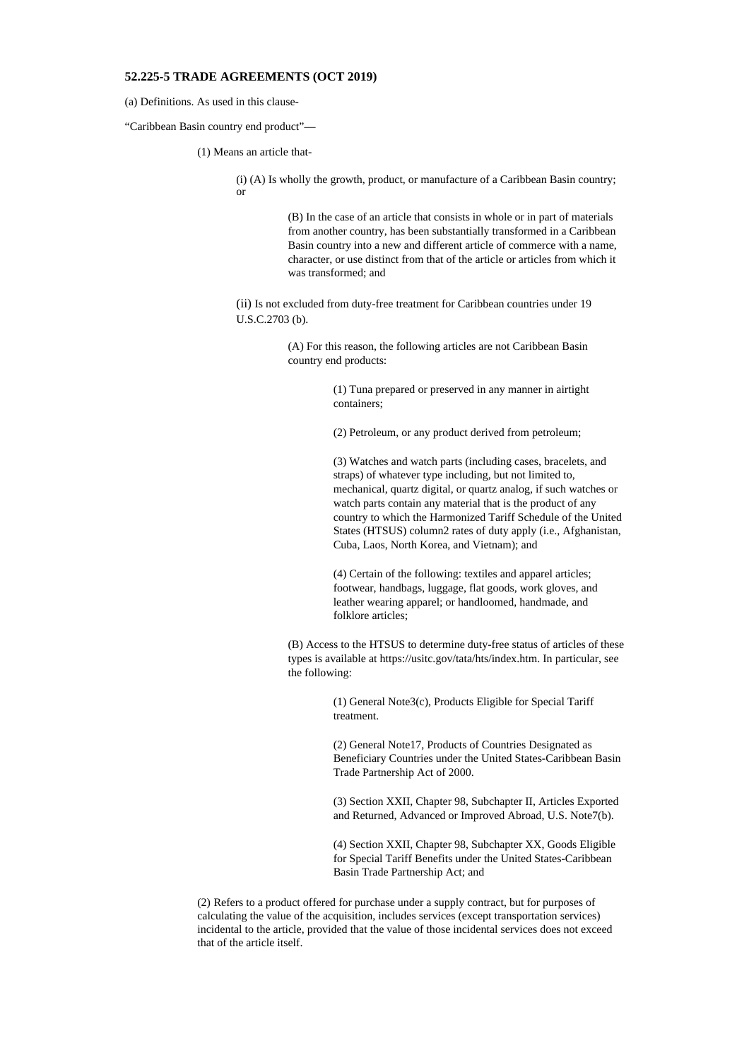## **52.225-5 TRADE AGREEMENTS (OCT 2019)**

(a) Definitions. As used in this clause-

"Caribbean Basin country end product"—

(1) Means an article that-

(i) (A) Is wholly the growth, product, or manufacture of a Caribbean Basin country; or

> (B) In the case of an article that consists in whole or in part of materials from another country, has been substantially transformed in a Caribbean Basin country into a new and different article of commerce with a name, character, or use distinct from that of the article or articles from which it was transformed; and

(ii) Is not excluded from duty-free treatment for Caribbean countries under 19 U.S.C.2703 (b).

> (A) For this reason, the following articles are not Caribbean Basin country end products:

> > (1) Tuna prepared or preserved in any manner in airtight containers;

(2) Petroleum, or any product derived from petroleum;

(3) Watches and watch parts (including cases, bracelets, and straps) of whatever type including, but not limited to, mechanical, quartz digital, or quartz analog, if such watches or watch parts contain any material that is the product of any country to which the Harmonized Tariff Schedule of the United States (HTSUS) column2 rates of duty apply (i.e., Afghanistan, Cuba, Laos, North Korea, and Vietnam); and

(4) Certain of the following: textiles and apparel articles; footwear, handbags, luggage, flat goods, work gloves, and leather wearing apparel; or handloomed, handmade, and folklore articles;

(B) Access to the HTSUS to determine duty-free status of articles of these types is available at https://usitc.gov/tata/hts/index.htm. In particular, see the following:

> (1) General Note3(c), Products Eligible for Special Tariff treatment.

(2) General Note17, Products of Countries Designated as Beneficiary Countries under the United States-Caribbean Basin Trade Partnership Act of 2000.

(3) Section XXII, Chapter 98, Subchapter II, Articles Exported and Returned, Advanced or Improved Abroad, U.S. Note7(b).

(4) Section XXII, Chapter 98, Subchapter XX, Goods Eligible for Special Tariff Benefits under the United States-Caribbean Basin Trade Partnership Act; and

(2) Refers to a product offered for purchase under a supply contract, but for purposes of calculating the value of the acquisition, includes services (except transportation services) incidental to the article, provided that the value of those incidental services does not exceed that of the article itself.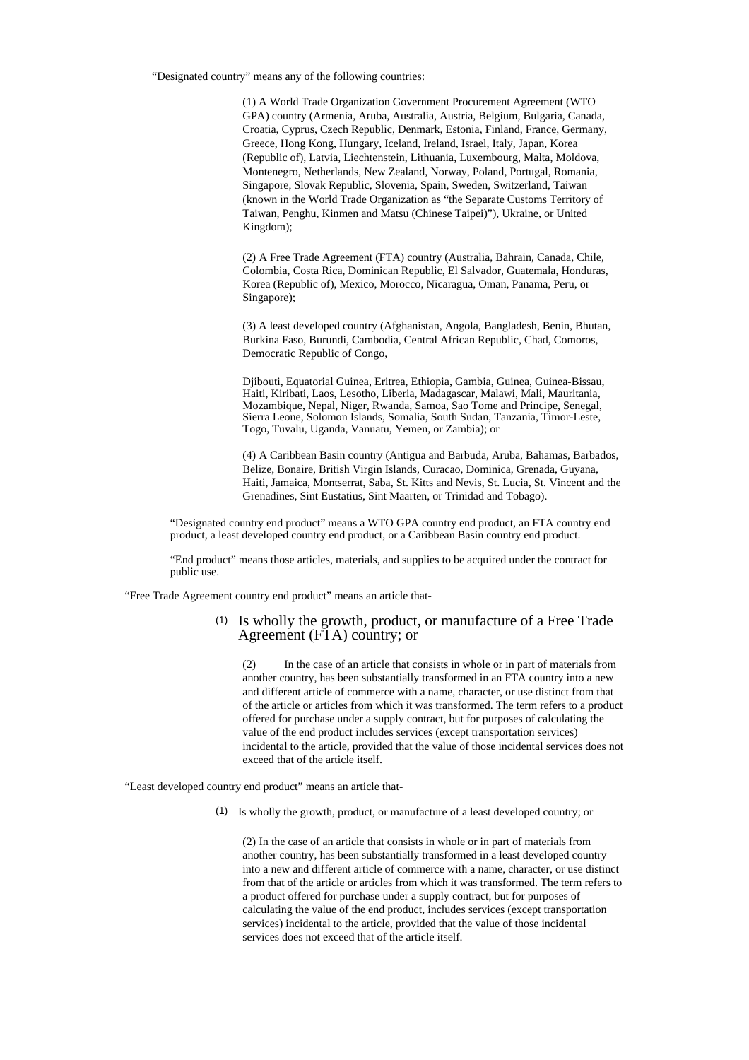"Designated country" means any of the following countries:

(1) A World Trade Organization Government Procurement Agreement (WTO GPA) country (Armenia, Aruba, Australia, Austria, Belgium, Bulgaria, Canada, Croatia, Cyprus, Czech Republic, Denmark, Estonia, Finland, France, Germany, Greece, Hong Kong, Hungary, Iceland, Ireland, Israel, Italy, Japan, Korea (Republic of), Latvia, Liechtenstein, Lithuania, Luxembourg, Malta, Moldova, Montenegro, Netherlands, New Zealand, Norway, Poland, Portugal, Romania, Singapore, Slovak Republic, Slovenia, Spain, Sweden, Switzerland, Taiwan (known in the World Trade Organization as "the Separate Customs Territory of Taiwan, Penghu, Kinmen and Matsu (Chinese Taipei)"), Ukraine, or United Kingdom);

(2) A Free Trade Agreement (FTA) country (Australia, Bahrain, Canada, Chile, Colombia, Costa Rica, Dominican Republic, El Salvador, Guatemala, Honduras, Korea (Republic of), Mexico, Morocco, Nicaragua, Oman, Panama, Peru, or Singapore):

(3) A least developed country (Afghanistan, Angola, Bangladesh, Benin, Bhutan, Burkina Faso, Burundi, Cambodia, Central African Republic, Chad, Comoros, Democratic Republic of Congo,

Djibouti, Equatorial Guinea, Eritrea, Ethiopia, Gambia, Guinea, Guinea-Bissau, Haiti, Kiribati, Laos, Lesotho, Liberia, Madagascar, Malawi, Mali, Mauritania, Mozambique, Nepal, Niger, Rwanda, Samoa, Sao Tome and Principe, Senegal, Sierra Leone, Solomon Islands, Somalia, South Sudan, Tanzania, Timor-Leste, Togo, Tuvalu, Uganda, Vanuatu, Yemen, or Zambia); or

(4) A Caribbean Basin country (Antigua and Barbuda, Aruba, Bahamas, Barbados, Belize, Bonaire, British Virgin Islands, Curacao, Dominica, Grenada, Guyana, Haiti, Jamaica, Montserrat, Saba, St. Kitts and Nevis, St. Lucia, St. Vincent and the Grenadines, Sint Eustatius, Sint Maarten, or Trinidad and Tobago).

"Designated country end product" means a WTO GPA country end product, an FTA country end product, a least developed country end product, or a Caribbean Basin country end product.

"End product" means those articles, materials, and supplies to be acquired under the contract for public use.

"Free Trade Agreement country end product" means an article that-

## (1) Is wholly the growth, product, or manufacture of a Free Trade Agreement (FTA) country; or

(2) In the case of an article that consists in whole or in part of materials from another country, has been substantially transformed in an FTA country into a new and different article of commerce with a name, character, or use distinct from that of the article or articles from which it was transformed. The term refers to a product offered for purchase under a supply contract, but for purposes of calculating the value of the end product includes services (except transportation services) incidental to the article, provided that the value of those incidental services does not exceed that of the article itself.

"Least developed country end product" means an article that-

(1) Is wholly the growth, product, or manufacture of a least developed country; or

(2) In the case of an article that consists in whole or in part of materials from another country, has been substantially transformed in a least developed country into a new and different article of commerce with a name, character, or use distinct from that of the article or articles from which it was transformed. The term refers to a product offered for purchase under a supply contract, but for purposes of calculating the value of the end product, includes services (except transportation services) incidental to the article, provided that the value of those incidental services does not exceed that of the article itself.